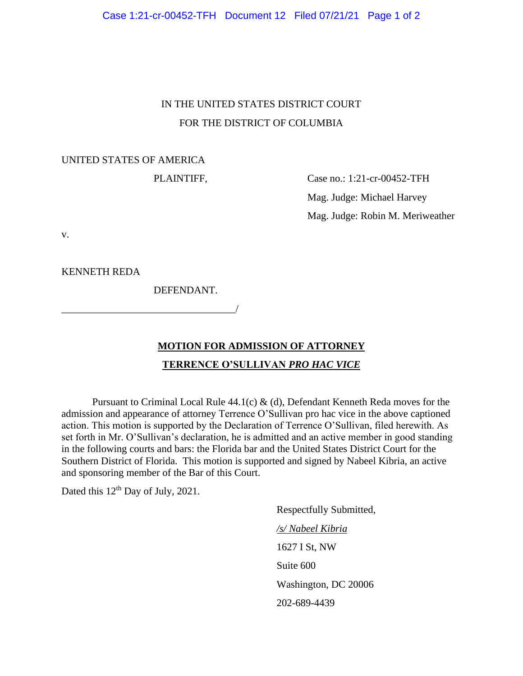Case 1:21-cr-00452-TFH Document 12 Filed 07/21/21 Page 1 of 2

## IN THE UNITED STATES DISTRICT COURT FOR THE DISTRICT OF COLUMBIA

### UNITED STATES OF AMERICA

PLAINTIFF, Case no.: 1:21-cr-00452-TFH Mag. Judge: Michael Harvey Mag. Judge: Robin M. Meriweather

v.

KENNETH REDA

DEFENDANT.

\_\_\_\_\_\_\_\_\_\_\_\_\_\_\_\_\_\_\_\_\_\_\_\_\_\_\_\_\_\_\_\_\_\_/

# **MOTION FOR ADMISSION OF ATTORNEY TERRENCE O'SULLIVAN** *PRO HAC VICE*

Pursuant to Criminal Local Rule  $44.1(c)$  & (d), Defendant Kenneth Reda moves for the admission and appearance of attorney Terrence O'Sullivan pro hac vice in the above captioned action. This motion is supported by the Declaration of Terrence O'Sullivan, filed herewith. As set forth in Mr. O'Sullivan's declaration, he is admitted and an active member in good standing in the following courts and bars: the Florida bar and the United States District Court for the Southern District of Florida. This motion is supported and signed by Nabeel Kibria, an active and sponsoring member of the Bar of this Court.

Dated this 12<sup>th</sup> Day of July, 2021.

Respectfully Submitted, */s/ Nabeel Kibria* 1627 I St, NW Suite 600 Washington, DC 20006 202-689-4439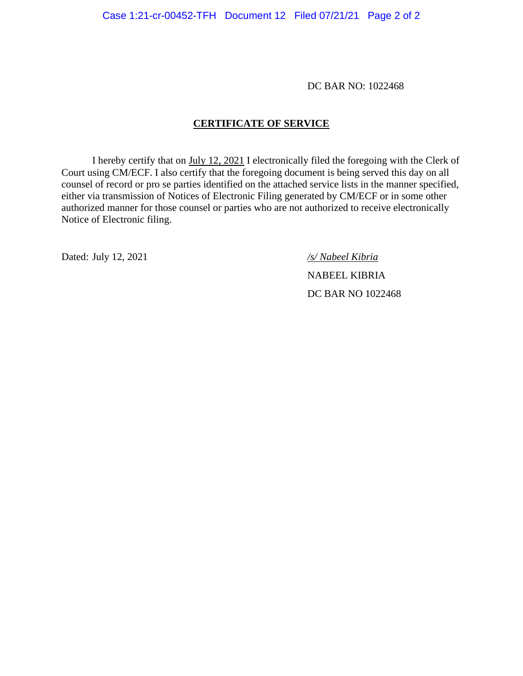DC BAR NO: 1022468

### **CERTIFICATE OF SERVICE**

I hereby certify that on July 12, 2021 I electronically filed the foregoing with the Clerk of Court using CM/ECF. I also certify that the foregoing document is being served this day on all counsel of record or pro se parties identified on the attached service lists in the manner specified, either via transmission of Notices of Electronic Filing generated by CM/ECF or in some other authorized manner for those counsel or parties who are not authorized to receive electronically Notice of Electronic filing.

Dated: July 12, 2021 */s/ Nabeel Kibria*

NABEEL KIBRIA DC BAR NO 1022468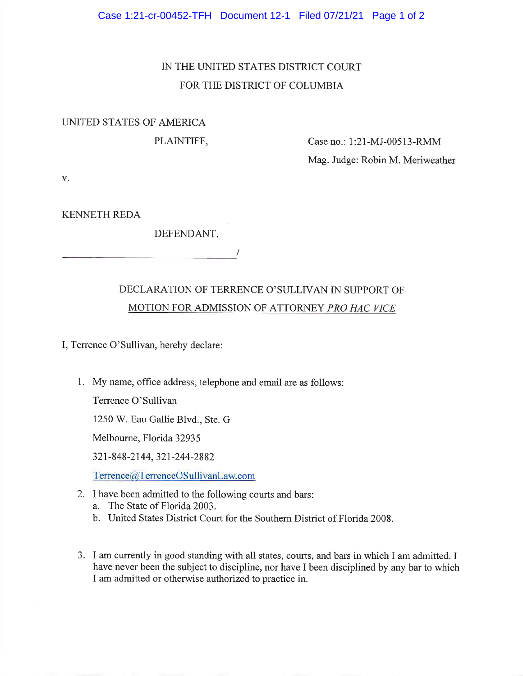# IN THE UNITED STATES DISTRICT COURT FOR THE DISTRICT OF COLUMBIA

## UNITED STATES OF AMERICA

PLAINTIFF,

Case no.: 1:21-MJ-00513-RMM Mag. Judge: Robin M. Meriweather

V.

**KENNETH REDA** 

DEFENDANT.

# DECLARATION OF TERRENCE O'SULLIVAN IN SUPPORT OF MOTION FOR ADMISSION OF ATTORNEY PRO HAC VICE

I, Terrence O'Sullivan, hereby declare:

1. My name, office address, telephone and email are as follows:

Terrence O'Sullivan

1250 W. Eau Gallie Blvd., Ste. G

Melbourne, Florida 32935

321-848-2144, 321-244-2882

Terrence@TerrenceOSullivanLaw.com

- 2. I have been admitted to the following courts and bars:
	- a. The State of Florida 2003.
	- b. United States District Court for the Southern District of Florida 2008.
- 3. I am currently in good standing with all states, courts, and bars in which I am admitted. I have never been the subject to discipline, nor have I been disciplined by any bar to which I am admitted or otherwise authorized to practice in.